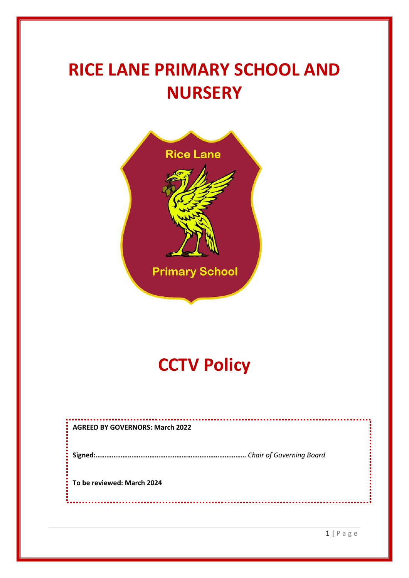# **RICE LANE PRIMARY SCHOOL AND NURSERY**



## **CCTV Policy**

| <b>AGREED BY GOVERNORS: March 2022</b> |
|----------------------------------------|
| Chair of Governing Board               |
| To be reviewed: March 2024             |
|                                        |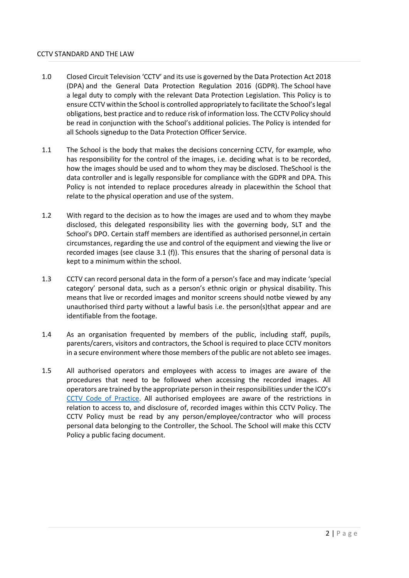#### CCTV STANDARD AND THE LAW

- 1.0 Closed Circuit Television 'CCTV' and its use is governed by the Data Protection Act 2018 (DPA) and the General Data Protection Regulation 2016 (GDPR). The School have a legal duty to comply with the relevant Data Protection Legislation. This Policy is to ensure CCTV within the School is controlled appropriately to facilitate the School's legal obligations, best practice and to reduce risk of information loss. The CCTV Policy should be read in conjunction with the School's additional policies. The Policy is intended for all Schools signedup to the Data Protection Officer Service.
- 1.1 The School is the body that makes the decisions concerning CCTV, for example, who has responsibility for the control of the images, i.e. deciding what is to be recorded, how the images should be used and to whom they may be disclosed. TheSchool is the data controller and is legally responsible for compliance with the GDPR and DPA. This Policy is not intended to replace procedures already in placewithin the School that relate to the physical operation and use of the system.
- 1.2 With regard to the decision as to how the images are used and to whom they maybe disclosed, this delegated responsibility lies with the governing body, SLT and the School's DPO. Certain staff members are identified as authorised personnel,in certain circumstances, regarding the use and control of the equipment and viewing the live or recorded images (see clause 3.1 (f)). This ensures that the sharing of personal data is kept to a minimum within the school.
- 1.3 CCTV can record personal data in the form of a person's face and may indicate 'special category' personal data, such as a person's ethnic origin or physical disability. This means that live or recorded images and monitor screens should notbe viewed by any unauthorised third party without a lawful basis i.e. the person(s)that appear and are identifiable from the footage.
- 1.4 As an organisation frequented by members of the public, including staff, pupils, parents/carers, visitors and contractors, the School is required to place CCTV monitors in a secure environment where those members of the public are not ableto see images.
- 1.5 All authorised operators and employees with access to images are aware of the procedures that need to be followed when accessing the recorded images. All operators are trained by the appropriate person in their responsibilities under the ICO's [CCTV Code of Practice.](https://ico.org.uk/media/for-organisations/documents/1542/cctv-code-of-practice.pdf) All authorised employees are aware of the restrictions in relation to access to, and disclosure of, recorded images within this CCTV Policy. The CCTV Policy must be read by any person/employee/contractor who will process personal data belonging to the Controller, the School. The School will make this CCTV Policy a public facing document.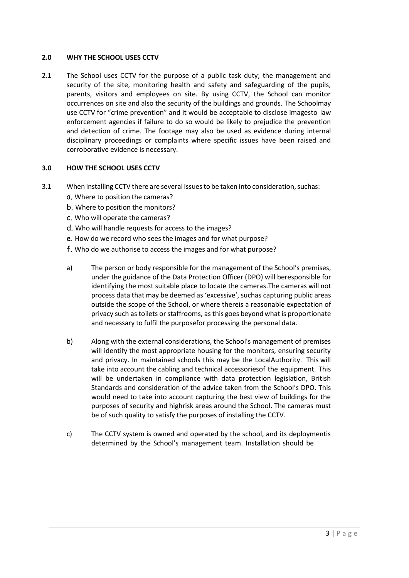#### **2.0 WHY THE SCHOOL USES CCTV**

2.1 The School uses CCTV for the purpose of a public task duty; the management and security of the site, monitoring health and safety and safeguarding of the pupils, parents, visitors and employees on site. By using CCTV, the School can monitor occurrences on site and also the security of the buildings and grounds. The Schoolmay use CCTV for "crime prevention" and it would be acceptable to disclose imagesto law enforcement agencies if failure to do so would be likely to prejudice the prevention and detection of crime. The footage may also be used as evidence during internal disciplinary proceedings or complaints where specific issues have been raised and corroborative evidence is necessary.

### **3.0 HOW THE SCHOOL USES CCTV**

- 3.1 When installing CCTV there are several issues to be taken into consideration, suchas:
	- a. Where to position the cameras?
	- b. Where to position the monitors?
	- c. Who will operate the cameras?
	- d. Who will handle requests for access to the images?
	- e. How do we record who sees the images and for what purpose?
	- f. Who do we authorise to access the images and for what purpose?
	- a) The person or body responsible for the management of the School's premises, under the guidance of the Data Protection Officer (DPO) will beresponsible for identifying the most suitable place to locate the cameras.The cameras will not process data that may be deemed as 'excessive', suchas capturing public areas outside the scope of the School, or where thereis a reasonable expectation of privacy such as toilets or staffrooms, as this goes beyond what is proportionate and necessary to fulfil the purposefor processing the personal data.
	- b) Along with the external considerations, the School's management of premises will identify the most appropriate housing for the monitors, ensuring security and privacy. In maintained schools this may be the LocalAuthority. This will take into account the cabling and technical accessoriesof the equipment. This will be undertaken in compliance with data protection legislation, British Standards and consideration of the advice taken from the School's DPO. This would need to take into account capturing the best view of buildings for the purposes of security and highrisk areas around the School. The cameras must be of such quality to satisfy the purposes of installing the CCTV.
	- c) The CCTV system is owned and operated by the school, and its deploymentis determined by the School's management team. Installation should be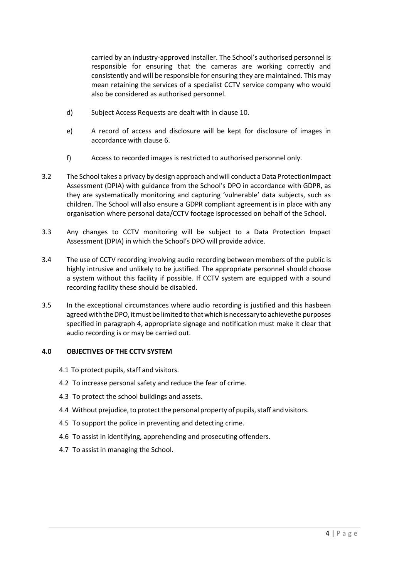carried by an industry-approved installer. The School's authorised personnel is responsible for ensuring that the cameras are working correctly and consistently and will be responsible for ensuring they are maintained. This may mean retaining the services of a specialist CCTV service company who would also be considered as authorised personnel.

- d) Subject Access Requests are dealt with in clause 10.
- e) A record of access and disclosure will be kept for disclosure of images in accordance with clause 6.
- f) Access to recorded images is restricted to authorised personnel only.
- 3.2 The School takes a privacy by design approach and will conduct a Data ProtectionImpact Assessment (DPIA) with guidance from the School's DPO in accordance with GDPR, as they are systematically monitoring and capturing 'vulnerable' data subjects, such as children. The School will also ensure a GDPR compliant agreement is in place with any organisation where personal data/CCTV footage isprocessed on behalf of the School.
- 3.3 Any changes to CCTV monitoring will be subject to a Data Protection Impact Assessment (DPIA) in which the School's DPO will provide advice.
- 3.4 The use of CCTV recording involving audio recording between members of the public is highly intrusive and unlikely to be justified. The appropriate personnel should choose a system without this facility if possible. If CCTV system are equipped with a sound recording facility these should be disabled.
- 3.5 In the exceptional circumstances where audio recording is justified and this hasbeen agreed with the DPO, it must be limited to that which is necessary to achievethe purposes specified in paragraph 4, appropriate signage and notification must make it clear that audio recording is or may be carried out.

## **4.0 OBJECTIVES OF THE CCTV SYSTEM**

- 4.1 To protect pupils, staff and visitors.
- 4.2 To increase personal safety and reduce the fear of crime.
- 4.3 To protect the school buildings and assets.
- 4.4 Without prejudice, to protect the personal property of pupils, staff and visitors.
- 4.5 To support the police in preventing and detecting crime.
- 4.6 To assist in identifying, apprehending and prosecuting offenders.
- 4.7 To assist in managing the School.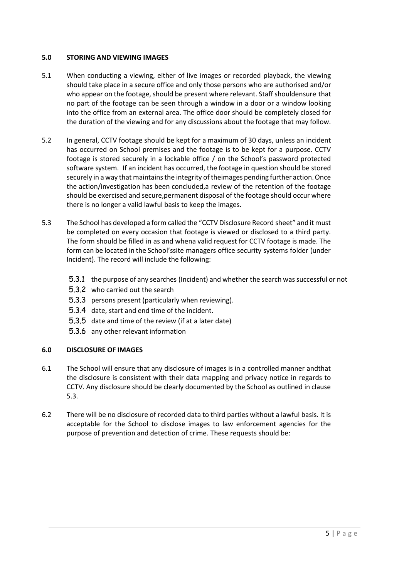#### **5.0 STORING AND VIEWING IMAGES**

- 5.1 When conducting a viewing, either of live images or recorded playback, the viewing should take place in a secure office and only those persons who are authorised and/or who appear on the footage, should be present where relevant. Staff shouldensure that no part of the footage can be seen through a window in a door or a window looking into the office from an external area. The office door should be completely closed for the duration of the viewing and for any discussions about the footage that may follow.
- 5.2 In general, CCTV footage should be kept for a maximum of 30 days, unless an incident has occurred on School premises and the footage is to be kept for a purpose. CCTV footage is stored securely in a lockable office / on the School's password protected software system. If an incident has occurred, the footage in question should be stored securely in a way that maintains the integrity of theimages pending further action. Once the action/investigation has been concluded,a review of the retention of the footage should be exercised and secure,permanent disposal of the footage should occur where there is no longer a valid lawful basis to keep the images.
- 5.3 The School has developed a form called the "CCTV Disclosure Record sheet" and itmust be completed on every occasion that footage is viewed or disclosed to a third party. The form should be filled in as and whena valid request for CCTV footage is made. The form can be located in the School'ssite managers office security systems folder (under Incident). The record will include the following:
	- 5.3.1 the purpose of any searches (Incident) and whether the search wassuccessful or not
	- 5.3.2 who carried out the search
	- 5.3.3 persons present (particularly when reviewing).
	- 5.3.4 date, start and end time of the incident.
	- 5.3.5 date and time of the review (if at a later date)
	- 5.3.6 any other relevant information

## **6.0 DISCLOSURE OF IMAGES**

- 6.1 The School will ensure that any disclosure of images is in a controlled manner andthat the disclosure is consistent with their data mapping and privacy notice in regards to CCTV. Any disclosure should be clearly documented by the School as outlined in clause 5.3.
- 6.2 There will be no disclosure of recorded data to third parties without a lawful basis. It is acceptable for the School to disclose images to law enforcement agencies for the purpose of prevention and detection of crime. These requests should be: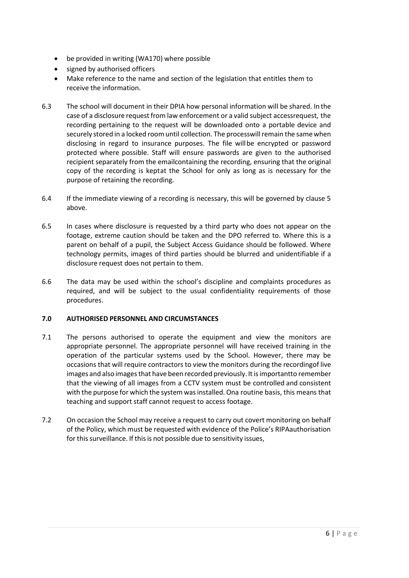- be provided in writing (WA170) where possible
- signed by authorised officers
- Make reference to the name and section of the legislation that entitles them to receive the information.
- 6.3 The school will document in their DPIA how personal information will be shared. In the case of a disclosure request from law enforcement or a valid subject accessrequest, the recording pertaining to the request will be downloaded onto a portable device and securely stored in a locked room until collection. The processwill remain the same when disclosing in regard to insurance purposes. The file willbe encrypted or password protected where possible. Staff will ensure passwords are given to the authorised recipient separately from the emailcontaining the recording, ensuring that the original copy of the recording is keptat the School for only as long as is necessary for the purpose of retaining the recording.
- 6.4 If the immediate viewing of a recording is necessary, this will be governed by clause 5 above.
- 6.5 In cases where disclosure is requested by a third party who does not appear on the footage, extreme caution should be taken and the DPO referred to. Where this is a parent on behalf of a pupil, the Subject Access Guidance should be followed. Where technology permits, images of third parties should be blurred and unidentifiable if a disclosure request does not pertain to them.
- 6.6 The data may be used within the school's discipline and complaints procedures as required, and will be subject to the usual confidentiality requirements of those procedures.

## **7.0 AUTHORISED PERSONNEL AND CIRCUMSTANCES**

- 7.1 The persons authorised to operate the equipment and view the monitors are appropriate personnel. The appropriate personnel will have received training in the operation of the particular systems used by the School. However, there may be occasions that will require contractors to view the monitors during the recordingof live images and also images that have been recorded previously. It is importantto remember that the viewing of all images from a CCTV system must be controlled and consistent with the purpose for which the systemwasinstalled.Ona routine basis, this means that teaching and support staff cannot request to access footage.
- 7.2 On occasion the School may receive a request to carry out covert monitoring on behalf of the Policy, which must be requested with evidence of the Police's RIPAauthorisation for this surveillance. If this is not possible due to sensitivity issues,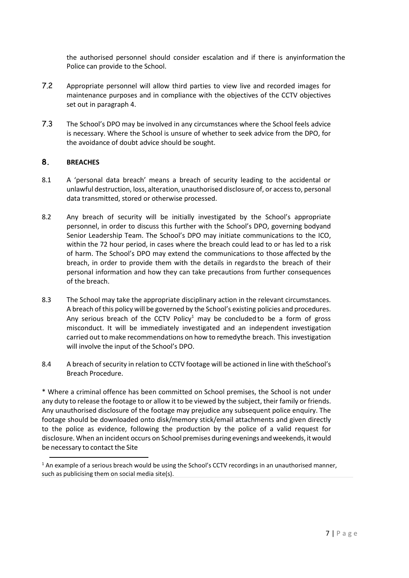the authorised personnel should consider escalation and if there is anyinformation the Police can provide to the School.

- 7.2 Appropriate personnel will allow third parties to view live and recorded images for maintenance purposes and in compliance with the objectives of the CCTV objectives set out in paragraph 4.
- 7.3 The School's DPO may be involved in any circumstances where the School feels advice is necessary. Where the School is unsure of whether to seek advice from the DPO, for the avoidance of doubt advice should be sought.

## **8. BREACHES**

- 8.1 A 'personal data breach' means a breach of security leading to the accidental or unlawful destruction, loss, alteration, unauthorised disclosure of, or access to, personal data transmitted, stored or otherwise processed.
- 8.2 Any breach of security will be initially investigated by the School's appropriate personnel, in order to discuss this further with the School's DPO, governing bodyand Senior Leadership Team. The School's DPO may initiate communications to the ICO, within the 72 hour period, in cases where the breach could lead to or has led to a risk of harm. The School's DPO may extend the communications to those affected by the breach, in order to provide them with the details in regardsto the breach of their personal information and how they can take precautions from further consequences of the breach.
- 8.3 The School may take the appropriate disciplinary action in the relevant circumstances. A breach of this policy will be governed by the School's existing policies and procedures. Any serious breach of the CCTV Policy<sup>1</sup> may be concluded to be a form of gross misconduct. It will be immediately investigated and an independent investigation carried out to make recommendations on how to remedythe breach. This investigation will involve the input of the School's DPO.
- 8.4 A breach of security in relation to CCTV footage will be actioned in line with theSchool's Breach Procedure.

\* Where a criminal offence has been committed on School premises, the School is not under any duty to release the footage to or allow it to be viewed by the subject, their family or friends. Any unauthorised disclosure of the footage may prejudice any subsequent police enquiry. The footage should be downloaded onto disk/memory stick/email attachments and given directly to the police as evidence, following the production by the police of a valid request for disclosure. When an incident occurs on School premises during evenings and weekends, it would be necessary to contact the Site

<sup>&</sup>lt;sup>1</sup> An example of a serious breach would be using the School's CCTV recordings in an unauthorised manner, such as publicising them on social media site(s).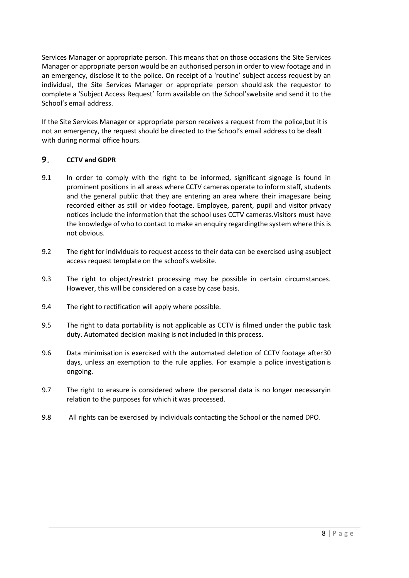Services Manager or appropriate person. This means that on those occasions the Site Services Manager or appropriate person would be an authorised person in order to view footage and in an emergency, disclose it to the police. On receipt of a 'routine' subject access request by an individual, the Site Services Manager or appropriate person should ask the requestor to complete a 'Subject Access Request' form available on the School'swebsite and send it to the School's email address.

If the Site Services Manager or appropriate person receives a request from the police,but it is not an emergency, the request should be directed to the School's email address to be dealt with during normal office hours.

## **9. CCTV and GDPR**

- 9.1 In order to comply with the right to be informed, significant signage is found in prominent positions in all areas where CCTV cameras operate to inform staff, students and the general public that they are entering an area where their imagesare being recorded either as still or video footage. Employee, parent, pupil and visitor privacy notices include the information that the school uses CCTV cameras.Visitors must have the knowledge of who to contact to make an enquiry regardingthe system where this is not obvious.
- 9.2 The right for individuals to request access to their data can be exercised using asubject access request template on the school's website.
- 9.3 The right to object/restrict processing may be possible in certain circumstances. However, this will be considered on a case by case basis.
- 9.4 The right to rectification will apply where possible.
- 9.5 The right to data portability is not applicable as CCTV is filmed under the public task duty. Automated decision making is not included in this process.
- 9.6 Data minimisation is exercised with the automated deletion of CCTV footage after30 days, unless an exemption to the rule applies. For example a police investigationis ongoing.
- 9.7 The right to erasure is considered where the personal data is no longer necessaryin relation to the purposes for which it was processed.
- 9.8 All rights can be exercised by individuals contacting the School or the named DPO.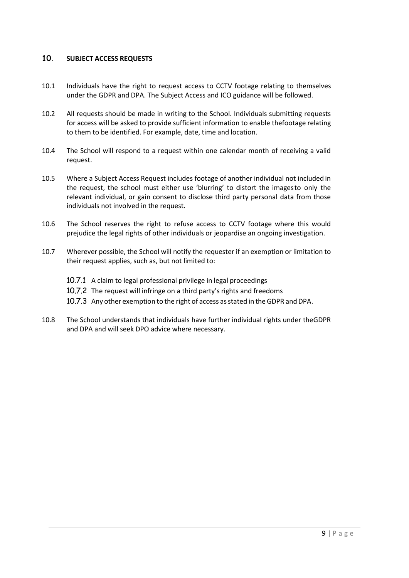## **10. SUBJECT ACCESS REQUESTS**

- 10.1 Individuals have the right to request access to CCTV footage relating to themselves under the GDPR and DPA. The Subject Access and ICO guidance will be followed.
- 10.2 All requests should be made in writing to the School. Individuals submitting requests for access will be asked to provide sufficient information to enable thefootage relating to them to be identified. For example, date, time and location.
- 10.4 The School will respond to a request within one calendar month of receiving a valid request.
- 10.5 Where a Subject Access Request includes footage of another individual not included in the request, the school must either use 'blurring' to distort the imagesto only the relevant individual, or gain consent to disclose third party personal data from those individuals not involved in the request.
- 10.6 The School reserves the right to refuse access to CCTV footage where this would prejudice the legal rights of other individuals or jeopardise an ongoing investigation.
- 10.7 Wherever possible, the School will notify the requester if an exemption or limitation to their request applies, such as, but not limited to:
	- 10.7.1 A claim to legal professional privilege in legal proceedings
	- 10.7.2 The request will infringe on a third party's rights and freedoms
	- 10.7.3 Any other exemption to the right of access as stated in the GDPR and DPA.
- 10.8 The School understands that individuals have further individual rights under theGDPR and DPA and will seek DPO advice where necessary.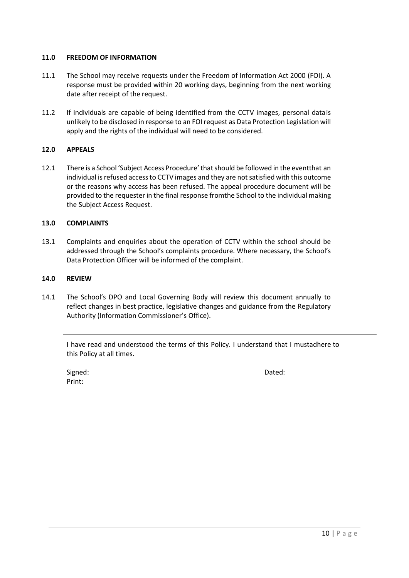### **11.0 FREEDOM OF INFORMATION**

- 11.1 The School may receive requests under the Freedom of Information Act 2000 (FOI). A response must be provided within 20 working days, beginning from the next working date after receipt of the request.
- 11.2 If individuals are capable of being identified from the CCTV images, personal datais unlikely to be disclosed in response to an FOI request as Data Protection Legislation will apply and the rights of the individual will need to be considered.

### **12.0 APPEALS**

12.1 There is a School 'Subject Access Procedure'thatshould be followed in the eventthat an individual is refused access to CCTV images and they are not satisfied with this outcome or the reasons why access has been refused. The appeal procedure document will be provided to the requester in the final response fromthe School to the individual making the Subject Access Request.

#### **13.0 COMPLAINTS**

13.1 Complaints and enquiries about the operation of CCTV within the school should be addressed through the School's complaints procedure. Where necessary, the School's Data Protection Officer will be informed of the complaint.

#### **14.0 REVIEW**

14.1 The School's DPO and Local Governing Body will review this document annually to reflect changes in best practice, legislative changes and guidance from the Regulatory Authority (Information Commissioner's Office).

I have read and understood the terms of this Policy. I understand that I mustadhere to this Policy at all times.

Signed: Dated: Print: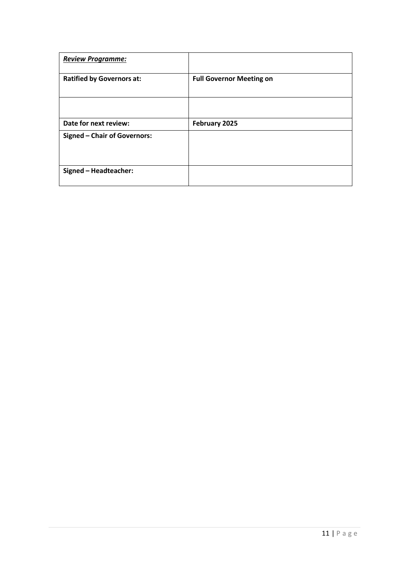| <b>Review Programme:</b>            |                                 |
|-------------------------------------|---------------------------------|
| <b>Ratified by Governors at:</b>    | <b>Full Governor Meeting on</b> |
|                                     |                                 |
| Date for next review:               | February 2025                   |
| <b>Signed - Chair of Governors:</b> |                                 |
| Signed - Headteacher:               |                                 |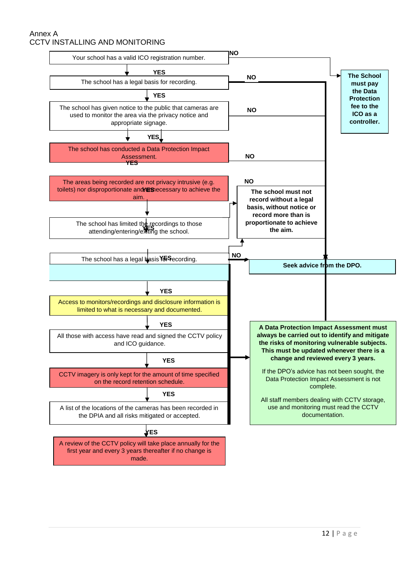### Annex A CCTV INSTALLING AND MONITORING

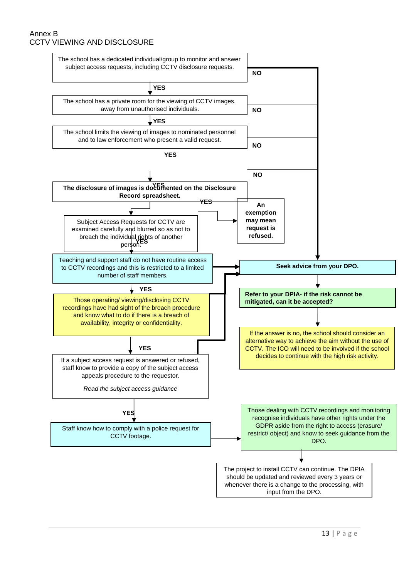## Annex B CCTV VIEWING AND DISCLOSURE